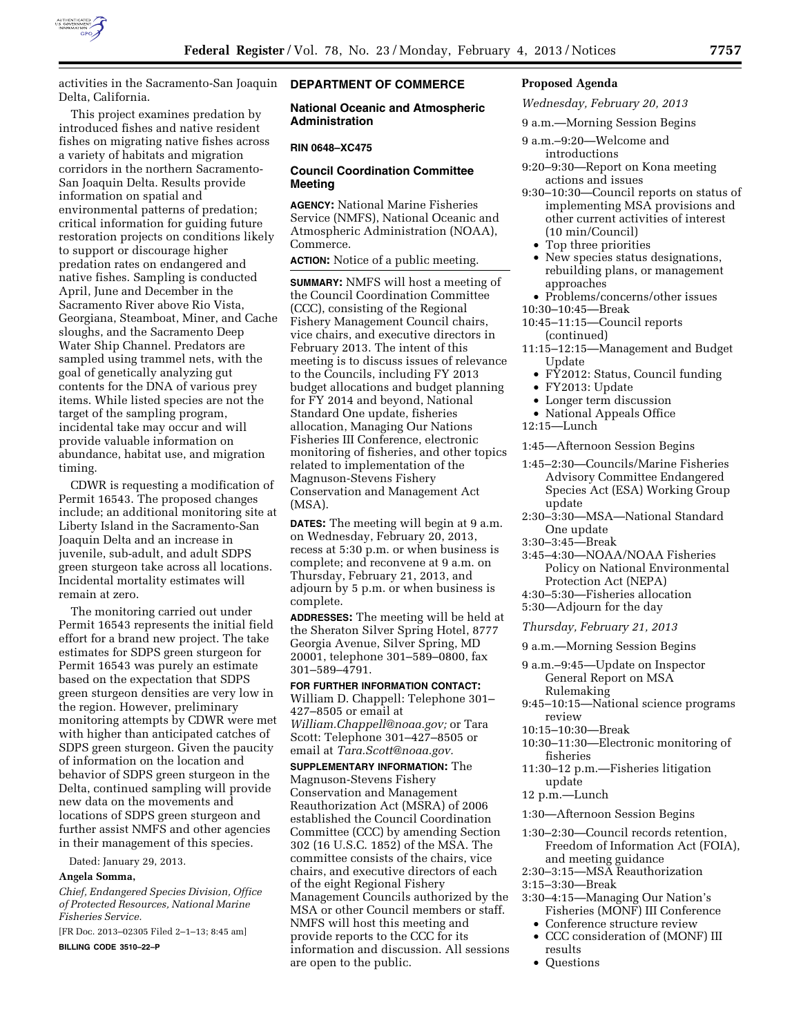

activities in the Sacramento-San Joaquin Delta, California.

This project examines predation by introduced fishes and native resident fishes on migrating native fishes across a variety of habitats and migration corridors in the northern Sacramento-San Joaquin Delta. Results provide information on spatial and environmental patterns of predation; critical information for guiding future restoration projects on conditions likely to support or discourage higher predation rates on endangered and native fishes. Sampling is conducted April, June and December in the Sacramento River above Rio Vista, Georgiana, Steamboat, Miner, and Cache sloughs, and the Sacramento Deep Water Ship Channel. Predators are sampled using trammel nets, with the goal of genetically analyzing gut contents for the DNA of various prey items. While listed species are not the target of the sampling program, incidental take may occur and will provide valuable information on abundance, habitat use, and migration timing.

CDWR is requesting a modification of Permit 16543. The proposed changes include; an additional monitoring site at Liberty Island in the Sacramento-San Joaquin Delta and an increase in juvenile, sub-adult, and adult SDPS green sturgeon take across all locations. Incidental mortality estimates will remain at zero.

The monitoring carried out under Permit 16543 represents the initial field effort for a brand new project. The take estimates for SDPS green sturgeon for Permit 16543 was purely an estimate based on the expectation that SDPS green sturgeon densities are very low in the region. However, preliminary monitoring attempts by CDWR were met with higher than anticipated catches of SDPS green sturgeon. Given the paucity of information on the location and behavior of SDPS green sturgeon in the Delta, continued sampling will provide new data on the movements and locations of SDPS green sturgeon and further assist NMFS and other agencies in their management of this species.

Dated: January 29, 2013.

#### **Angela Somma,**

*Chief, Endangered Species Division, Office of Protected Resources, National Marine Fisheries Service.* 

[FR Doc. 2013–02305 Filed 2–1–13; 8:45 am]

**BILLING CODE 3510–22–P** 

# **DEPARTMENT OF COMMERCE**

**National Oceanic and Atmospheric Administration** 

#### **RIN 0648–XC475**

## **Council Coordination Committee Meeting**

**AGENCY:** National Marine Fisheries Service (NMFS), National Oceanic and Atmospheric Administration (NOAA), Commerce.

**ACTION:** Notice of a public meeting.

**SUMMARY:** NMFS will host a meeting of the Council Coordination Committee (CCC), consisting of the Regional Fishery Management Council chairs, vice chairs, and executive directors in February 2013. The intent of this meeting is to discuss issues of relevance to the Councils, including FY 2013 budget allocations and budget planning for FY 2014 and beyond, National Standard One update, fisheries allocation, Managing Our Nations Fisheries III Conference, electronic monitoring of fisheries, and other topics related to implementation of the Magnuson-Stevens Fishery Conservation and Management Act (MSA).

**DATES:** The meeting will begin at 9 a.m. on Wednesday, February 20, 2013, recess at 5:30 p.m. or when business is complete; and reconvene at 9 a.m. on Thursday, February 21, 2013, and adjourn by 5 p.m. or when business is complete.

**ADDRESSES:** The meeting will be held at the Sheraton Silver Spring Hotel, 8777 Georgia Avenue, Silver Spring, MD 20001, telephone 301–589–0800, fax 301–589–4791.

**FOR FURTHER INFORMATION CONTACT:**  William D. Chappell: Telephone 301– 427–8505 or email at *[William.Chappell@noaa.gov;](mailto:William.Chappell@noaa.gov)* or Tara Scott: Telephone 301–427–8505 or email at *[Tara.Scott@noaa.gov.](mailto:Tara.Scott@noaa.gov)* 

**SUPPLEMENTARY INFORMATION:** The Magnuson-Stevens Fishery Conservation and Management Reauthorization Act (MSRA) of 2006 established the Council Coordination Committee (CCC) by amending Section 302 (16 U.S.C. 1852) of the MSA. The committee consists of the chairs, vice chairs, and executive directors of each of the eight Regional Fishery Management Councils authorized by the MSA or other Council members or staff. NMFS will host this meeting and provide reports to the CCC for its information and discussion. All sessions are open to the public.

# **Proposed Agenda**

*Wednesday, February 20, 2013* 

- 9 a.m.—Morning Session Begins
- 9 a.m.–9:20—Welcome and
- introductions 9:20–9:30—Report on Kona meeting actions and issues
- 9:30–10:30—Council reports on status of implementing MSA provisions and other current activities of interest (10 min/Council)
	- Top three priorities
	- New species status designations, rebuilding plans, or management approaches
	- Problems/concerns/other issues
- 10:30–10:45—Break
- 10:45–11:15—Council reports (continued)
- 11:15–12:15—Management and Budget
	- Update
	- FY2012: Status, Council funding
	- FY2013: Update
	- Longer term discussion
- National Appeals Office
- 12:15—Lunch

1:45—Afternoon Session Begins

- 1:45–2:30—Councils/Marine Fisheries Advisory Committee Endangered Species Act (ESA) Working Group update
- 2:30–3:30—MSA—National Standard One update
- 3:30–3:45—Break
- 3:45–4:30—NOAA/NOAA Fisheries Policy on National Environmental Protection Act (NEPA)
- 4:30–5:30—Fisheries allocation 5:30—Adjourn for the day

*Thursday, February 21, 2013* 

- 9 a.m.—Morning Session Begins
- 9 a.m.–9:45—Update on Inspector General Report on MSA Rulemaking
- 9:45–10:15—National science programs review
- 10:15–10:30—Break
- 10:30–11:30—Electronic monitoring of fisheries
- 11:30–12 p.m.—Fisheries litigation update
- 12 p.m.—Lunch

1:30—Afternoon Session Begins

- 1:30–2:30—Council records retention, Freedom of Information Act (FOIA), and meeting guidance
- 2:30–3:15—MSA Reauthorization
- 3:15–3:30—Break
- 3:30–4:15—Managing Our Nation's Fisheries (MONF) III Conference
- Conference structure review • CCC consideration of (MONF) III
- results
- Questions